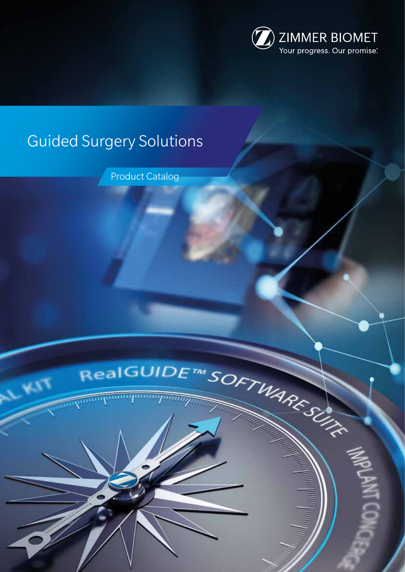

# Guided Surgery Solutions

Product Catalog



**EST**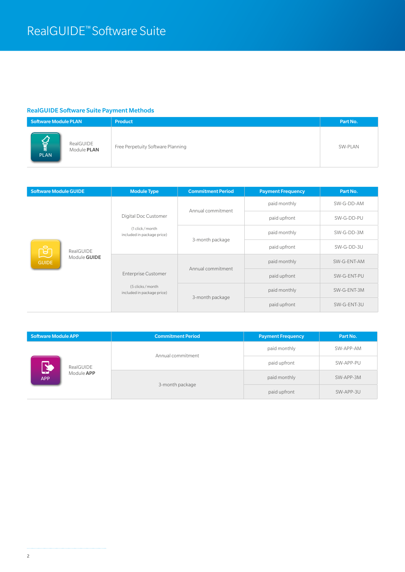## RealGUIDE Software Suite Payment Methods

| <b>Software Module PLAN</b>                                   | <b>Product</b>                    | Part No. |
|---------------------------------------------------------------|-----------------------------------|----------|
| <b>VALW</b><br>RealGUIDE<br>Module <b>PLAN</b><br><b>PLAN</b> | Free Perpetuity Software Planning | SW-PLAN  |

| <b>Software Module GUIDE</b>                                      |  | <b>Module Type</b>                                                   | <b>Commitment Period</b> | <b>Payment Frequency</b> | Part No.    |
|-------------------------------------------------------------------|--|----------------------------------------------------------------------|--------------------------|--------------------------|-------------|
| $\circ$<br>RealGUIDE<br>A,<br>Module <b>GUIDE</b><br><b>GUIDE</b> |  | Digital Doc Customer<br>(1 click/month<br>included in package price) | Annual commitment        | paid monthly             | SW-G-DD-AM  |
|                                                                   |  |                                                                      |                          | paid upfront             | SW-G-DD-PU  |
|                                                                   |  |                                                                      | 3-month package          | paid monthly             | SW-G-DD-3M  |
|                                                                   |  |                                                                      |                          | paid upfront             | SW-G-DD-3U  |
|                                                                   |  | <b>Enterprise Customer</b>                                           | Annual commitment        | paid monthly             | SW-G-ENT-AM |
|                                                                   |  |                                                                      |                          | paid upfront             | SW-G-ENT-PU |
|                                                                   |  | (5 clicks/month<br>included in package price)                        | 3-month package          | paid monthly             | SW-G-ENT-3M |
|                                                                   |  |                                                                      |                          | paid upfront             | SW-G-ENT-3U |

| <b>Software Module APP</b>                                               |                   | <b>Commitment Period</b> | Payment Frequency | Part No. |
|--------------------------------------------------------------------------|-------------------|--------------------------|-------------------|----------|
| مالی<br>RealGUIDE<br>$\blacktriangle$<br>Module <b>APP</b><br><b>APP</b> | Annual commitment | paid monthly             | SW-APP-AM         |          |
|                                                                          |                   | paid upfront             | SW-APP-PU         |          |
|                                                                          | 3-month package   | paid monthly             | SW-APP-3M         |          |
|                                                                          |                   | paid upfront             | SW-APP-3U         |          |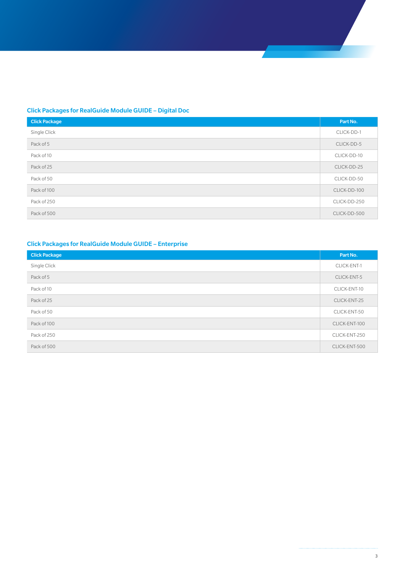## Click Packages for RealGuide Module GUIDE – Digital Doc

| <b>Click Package</b> | Part No.     |
|----------------------|--------------|
| Single Click         | CLICK-DD-1   |
| Pack of 5            | CLICK-DD-5   |
| Pack of 10           | CLICK-DD-10  |
| Pack of 25           | CLICK-DD-25  |
| Pack of 50           | CLICK-DD-50  |
| Pack of 100          | CLICK-DD-100 |
| Pack of 250          | CLICK-DD-250 |
| Pack of 500          | CLICK-DD-500 |

## Click Packages for RealGuide Module GUIDE – Enterprise

| <b>Click Package</b> | Part No.      |
|----------------------|---------------|
| Single Click         | CLICK-ENT-1   |
| Pack of 5            | CLICK-ENT-5   |
| Pack of 10           | CLICK-ENT-10  |
| Pack of 25           | CLICK-ENT-25  |
| Pack of 50           | CLICK-ENT-50  |
| Pack of 100          | CLICK-ENT-100 |
| Pack of 250          | CLICK-ENT-250 |
| Pack of 500          | CLICK-ENT-500 |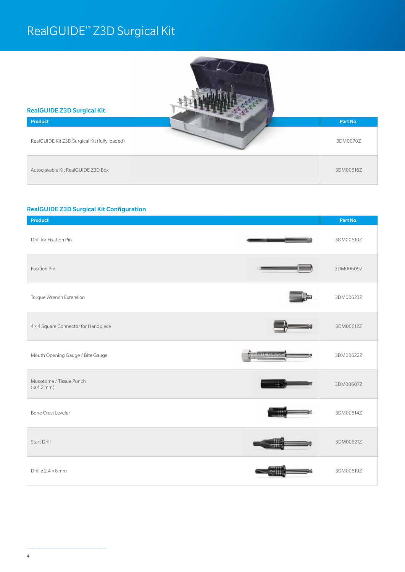## RealGUIDE™ Z3D Surgical Kit



#### RealGUIDE Z3D Surgical Kit Configuration

| <b>Product</b>                                 | Part No.  |
|------------------------------------------------|-----------|
| Drill for Fixation Pin                         | 3DM00610Z |
| <b>Fixation Pin</b>                            | 3DM00609Z |
| Torque Wrench Extension                        | 3DM00623Z |
| 4 × 4 Square Connector for Handpiece           | 3DM00612Z |
| न्दत्तरा<br>Mouth Opening Gauge / Bite Gauge   | 3DM00622Z |
| Mucotome / Tissue Punch<br>$(\emptyset$ 4.2mm) | 3DM00607Z |
| <b>Bone Crest Leveler</b>                      | 3DM00614Z |
| Start Drill                                    | 3DM00621Z |
| Drill ø 2.4 × 6 mm                             | 3DM00619Z |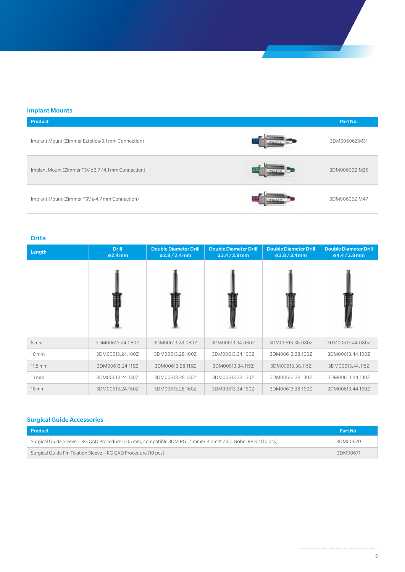#### Implant Mounts

| <b>Product</b>                                     | Part No.      |
|----------------------------------------------------|---------------|
| Implant Mount (Zimmer Eztetic ø 3.1 mm Connection) | 3DM00606ZIM31 |
| Implant Mount (Zimmer TSV ø 3.7/4.1mm Connection)  | 3DM00606ZIM35 |
| Implant Mount (Zimmer TSV ø 4.7 mm Connection)     | 3DM00606ZIM47 |

#### Drills

| Length              | <b>Drill</b><br>ø2.4 mm | <b>Double Diameter Drill</b><br>$02.8 / 2.4$ mm | <b>Double Diameter Drill</b><br>$03.4 / 2.8$ mm | <b>Double Diameter Drill</b><br>$03.8 / 3.4$ mm | <b>Double Diameter Drill</b><br>$04.4 / 3.8$ mm |
|---------------------|-------------------------|-------------------------------------------------|-------------------------------------------------|-------------------------------------------------|-------------------------------------------------|
|                     |                         |                                                 |                                                 |                                                 |                                                 |
| 8 <sub>mm</sub>     | 3DM00613.24.080Z        | 3DM00613.28.080Z                                | 3DM00613.34.080Z                                | 3DM00613.38.080Z                                | 3DM00613.44.080Z                                |
| $10 \, \mathrm{mm}$ | 3DM00613.24.100Z        | 3DM00613.28.100Z                                | 3DM00613.34.100Z                                | 3DM00613.38.100Z                                | 3DM00613.44.100Z                                |
| $11.5 \text{ mm}$   | 3DM00613.24.115Z        | 3DM00613.28.115Z                                | 3DM00613.34.115Z                                | 3DM00613.38.115Z                                | 3DM00613.44.115Z                                |
| $13 \, \mathrm{mm}$ | 3DM00613.24.130Z        | 3DM00613.28.130Z                                | 3DM00613.34.130Z                                | 3DM00613.38.130Z                                | 3DM00613.44.130Z                                |
| 16 mm               | 3DM00613.24.160Z        | 3DM00613.28.160Z                                | 3DM00613.34.160Z                                | 3DM00613.38.160Z                                | 3DM00613.44.160Z                                |

### Surgical Guide Accessories

| Product                                                                                                       | Part No. |
|---------------------------------------------------------------------------------------------------------------|----------|
| Surgical Guide Sleeve – RG CAD Procedure 5.05 mm, compatible 3DM RG, Zimmer Biomet Z3D, Nobel RP Kit (10 pcs) | 3DM00670 |
| Surgical Guide Pin Fixation Sleeve – RG CAD Procedure (10 pcs)                                                | 3DM00671 |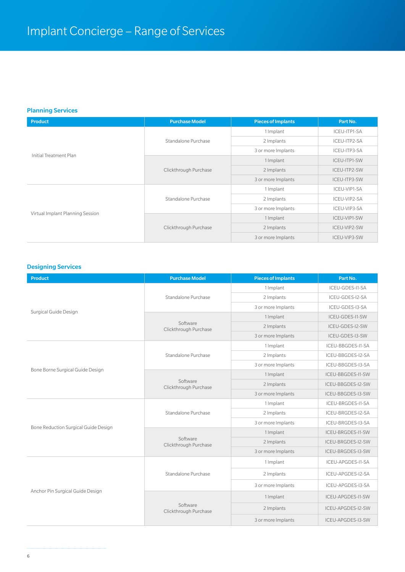#### Planning Services

| <b>Product</b>                   | <b>Purchase Model</b> | <b>Pieces of Implants</b> | Part No.     |
|----------------------------------|-----------------------|---------------------------|--------------|
|                                  |                       | 1 Implant                 | ICEU-ITP1-SA |
|                                  | Standalone Purchase   | 2 Implants                | ICEU-ITP2-SA |
| Initial Treatment Plan           |                       | 3 or more Implants        | ICEU-ITP3-SA |
|                                  |                       | 1 Implant                 | ICEU-ITP1-SW |
|                                  | Clickthrough Purchase | 2 Implants                | ICEU-ITP2-SW |
|                                  |                       | 3 or more Implants        | ICEU-ITP3-SW |
|                                  |                       | 1 Implant                 | ICEU-VIP1-SA |
|                                  | Standalone Purchase   | 2 Implants                | ICEU-VIP2-SA |
|                                  |                       | 3 or more Implants        | ICEU-VIP3-SA |
| Virtual Implant Planning Session |                       | 1 Implant                 | ICEU-VIP1-SW |
|                                  | Clickthrough Purchase | 2 Implants                | ICEU-VIP2-SW |
|                                  |                       | 3 or more Implants        | ICEU-VIP3-SW |

## Designing Services

| <b>Product</b>                       | <b>Purchase Model</b>             | <b>Pieces of Implants</b> | Part No.          |
|--------------------------------------|-----------------------------------|---------------------------|-------------------|
|                                      |                                   | 1 Implant                 | ICEU-GDES-I1-SA   |
|                                      | Standalone Purchase               | 2 Implants                | ICEU-GDES-I2-SA   |
|                                      |                                   | 3 or more Implants        | ICEU-GDES-I3-SA   |
| Surgical Guide Design                |                                   | 1 Implant                 | ICEU-GDES-I1-SW   |
|                                      | Software<br>Clickthrough Purchase | 2 Implants                | ICEU-GDES-I2-SW   |
|                                      |                                   | 3 or more Implants        | ICEU-GDES-I3-SW   |
|                                      |                                   | 1 Implant                 | ICEU-BBGDES-I1-SA |
|                                      | Standalone Purchase               | 2 Implants                | ICEU-BBGDES-I2-SA |
| Bone Borne Surgical Guide Design     |                                   | 3 or more Implants        | ICEU-BBGDES-I3-SA |
|                                      |                                   | 1 Implant                 | ICEU-BBGDES-I1-SW |
|                                      | Software<br>Clickthrough Purchase | 2 Implants                | ICEU-BBGDES-I2-SW |
|                                      |                                   | 3 or more Implants        | ICEU-BBGDES-I3-SW |
|                                      |                                   | 1 Implant                 | ICEU-BRGDES-I1-SA |
|                                      | Standalone Purchase               | 2 Implants                | ICEU-BRGDES-I2-SA |
| Bone Reduction Surgical Guide Design |                                   | 3 or more Implants        | ICEU-BRGDES-I3-SA |
|                                      |                                   | 1 Implant                 | ICEU-BRGDES-I1-SW |
|                                      | Software<br>Clickthrough Purchase | 2 Implants                | ICEU-BRGDES-I2-SW |
|                                      |                                   | 3 or more Implants        | ICEU-BRGDES-I3-SW |
|                                      |                                   | 1 Implant                 | ICEU-APGDES-I1-SA |
|                                      | Standalone Purchase               | 2 Implants                | ICEU-APGDES-I2-SA |
|                                      |                                   | 3 or more Implants        | ICEU-APGDES-I3-SA |
| Anchor Pin Surgical Guide Design     |                                   | 1 Implant                 | ICEU-APGDES-I1-SW |
|                                      | Software<br>Clickthrough Purchase | 2 Implants                | ICEU-APGDES-I2-SW |
|                                      |                                   | 3 or more Implants        | ICEU-APGDES-I3-SW |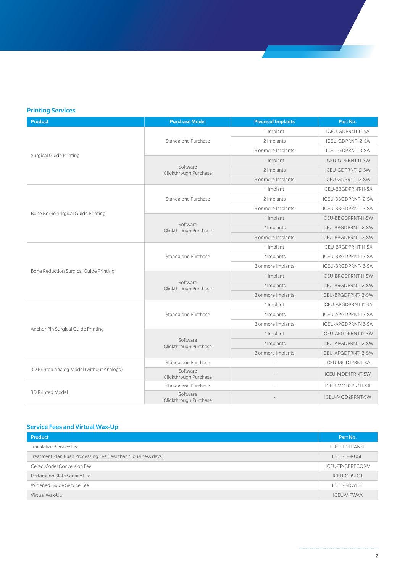## Printing Services

| <b>Product</b>                                | <b>Purchase Model</b>             | <b>Pieces of Implants</b> | Part No.            |
|-----------------------------------------------|-----------------------------------|---------------------------|---------------------|
|                                               |                                   | 1 Implant                 | ICEU-GDPRNT-I1-SA   |
|                                               | Standalone Purchase               | 2 Implants                | ICEU-GDPRNT-I2-SA   |
|                                               |                                   | 3 or more Implants        | ICEU-GDPRNT-I3-SA   |
| <b>Surgical Guide Printing</b>                |                                   | 1 Implant                 | ICEU-GDPRNT-I1-SW   |
|                                               | Software<br>Clickthrough Purchase | 2 Implants                | ICEU-GDPRNT-I2-SW   |
|                                               |                                   | 3 or more Implants        | ICEU-GDPRNT-I3-SW   |
|                                               |                                   | 1 Implant                 | ICEU-BBGDPRNT-I1-SA |
|                                               | Standalone Purchase               | 2 Implants                | ICEU-BBGDPRNT-I2-SA |
|                                               |                                   | 3 or more Implants        | ICEU-BBGDPRNT-I3-SA |
| Bone Borne Surgical Guide Printing            |                                   | 1 Implant                 | ICEU-BBGDPRNT-I1-SW |
|                                               | Software<br>Clickthrough Purchase | 2 Implants                | ICEU-BBGDPRNT-I2-SW |
|                                               |                                   | 3 or more Implants        | ICEU-BBGDPRNT-I3-SW |
|                                               |                                   | 1 Implant                 | ICEU-BRGDPRNT-I1-SA |
|                                               | Standalone Purchase               | 2 Implants                | ICEU-BRGDPRNT-I2-SA |
| <b>Bone Reduction Surgical Guide Printing</b> |                                   | 3 or more Implants        | ICEU-BRGDPRNT-I3-SA |
|                                               | Software<br>Clickthrough Purchase | 1 Implant                 | ICEU-BRGDPRNT-I1-SW |
|                                               |                                   | 2 Implants                | ICEU-BRGDPRNT-I2-SW |
|                                               |                                   | 3 or more Implants        | ICEU-BRGDPRNT-I3-SW |
|                                               |                                   | 1 Implant                 | ICEU-APGDPRNT-I1-SA |
|                                               | Standalone Purchase               | 2 Implants                | ICEU-APGDPRNT-I2-SA |
| Anchor Pin Surgical Guide Printing            |                                   | 3 or more Implants        | ICEU-APGDPRNT-I3-SA |
|                                               |                                   | 1 Implant                 | ICEU-APGDPRNT-I1-SW |
|                                               | Software<br>Clickthrough Purchase | 2 Implants                | ICEU-APGDPRNT-I2-SW |
|                                               |                                   | 3 or more Implants        | ICEU-APGDPRNT-I3-SW |
|                                               | Standalone Purchase               |                           | ICEU-MOD1PRNT-SA    |
| 3D Printed Analog Model (without Analogs)     | Software<br>Clickthrough Purchase |                           | ICEU-MOD1PRNT-SW    |
|                                               | Standalone Purchase               |                           | ICEU-MOD2PRNT-SA    |
| 3D Printed Model                              | Software<br>Clickthrough Purchase |                           | ICEU-MOD2PRNT-SW    |

### Service Fees and Virtual Wax-Up

| <b>Product</b>                                                 | Part No.           |
|----------------------------------------------------------------|--------------------|
| <b>Translation Service Fee</b>                                 | ICEU-TP-TRANSL     |
| Treatment Plan Rush Processing Fee (less than 5 business days) | ICEU-TP-RUSH       |
| Cerec Model Conversion Fee                                     | ICEU-TP-CERECONV   |
| Perforation Slots Service Fee                                  | <b>ICEU-GDSLOT</b> |
| Widened Guide Service Fee                                      | ICEU-GDWIDE        |
| Virtual Wax-Up                                                 | ICEU-VIRWAX        |